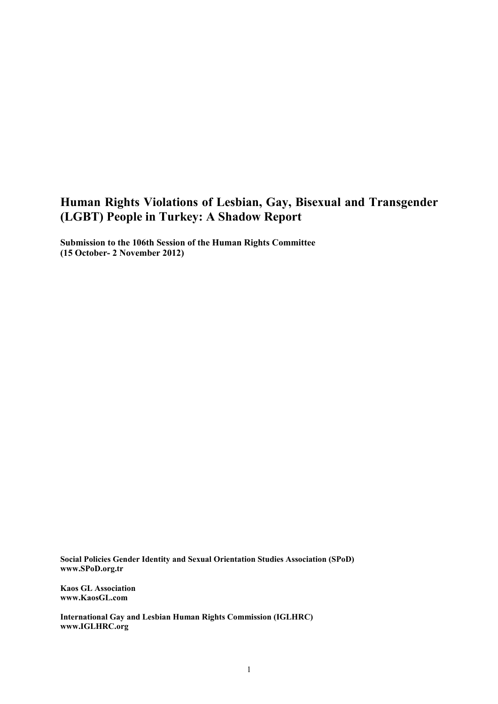# **Human Rights Violations of Lesbian, Gay, Bisexual and Transgender (LGBT) People in Turkey: A Shadow Report**

**Submission to the 106th Session of the Human Rights Committee (15 October- 2 November 2012)** 

**Social Policies Gender Identity and Sexual Orientation Studies Association (SPoD) www.SPoD.org.tr** 

**Kaos GL Association www.KaosGL.com** 

**International Gay and Lesbian Human Rights Commission (IGLHRC) www.IGLHRC.org**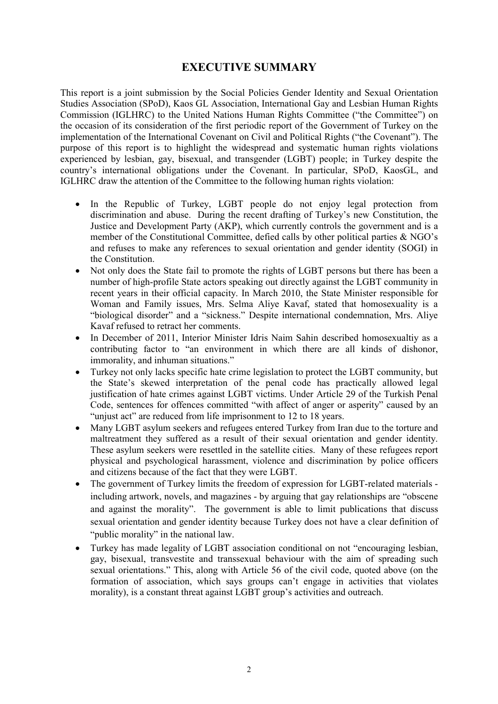## **EXECUTIVE SUMMARY**

This report is a joint submission by the Social Policies Gender Identity and Sexual Orientation Studies Association (SPoD), Kaos GL Association, International Gay and Lesbian Human Rights Commission (IGLHRC) to the United Nations Human Rights Committee ("the Committee") on the occasion of its consideration of the first periodic report of the Government of Turkey on the implementation of the International Covenant on Civil and Political Rights ("the Covenant"). The purpose of this report is to highlight the widespread and systematic human rights violations experienced by lesbian, gay, bisexual, and transgender (LGBT) people; in Turkey despite the country's international obligations under the Covenant. In particular, SPoD, KaosGL, and IGLHRC draw the attention of the Committee to the following human rights violation:

- In the Republic of Turkey, LGBT people do not enjoy legal protection from discrimination and abuse. During the recent drafting of Turkey's new Constitution, the Justice and Development Party (AKP), which currently controls the government and is a member of the Constitutional Committee, defied calls by other political parties  $\&$  NGO's and refuses to make any references to sexual orientation and gender identity (SOGI) in the Constitution.
- Not only does the State fail to promote the rights of LGBT persons but there has been a number of high-profile State actors speaking out directly against the LGBT community in recent years in their official capacity. In March 2010, the State Minister responsible for Woman and Family issues, Mrs. Selma Aliye Kavaf, stated that homosexuality is a "biological disorder" and a "sickness." Despite international condemnation, Mrs. Aliye Kavaf refused to retract her comments.
- In December of 2011, Interior Minister Idris Naim Sahin described homosexualtiy as a contributing factor to "an environment in which there are all kinds of dishonor, immorality, and inhuman situations."
- Turkey not only lacks specific hate crime legislation to protect the LGBT community, but the State's skewed interpretation of the penal code has practically allowed legal justification of hate crimes against LGBT victims. Under Article 29 of the Turkish Penal Code, sentences for offences committed "with affect of anger or asperity" caused by an "unjust act" are reduced from life imprisonment to 12 to 18 years.
- Many LGBT asylum seekers and refugees entered Turkey from Iran due to the torture and maltreatment they suffered as a result of their sexual orientation and gender identity. These asylum seekers were resettled in the satellite cities. Many of these refugees report physical and psychological harassment, violence and discrimination by police officers and citizens because of the fact that they were LGBT.
- The government of Turkey limits the freedom of expression for LGBT-related materials including artwork, novels, and magazines - by arguing that gay relationships are "obscene and against the morality". The government is able to limit publications that discuss sexual orientation and gender identity because Turkey does not have a clear definition of "public morality" in the national law.
- Turkey has made legality of LGBT association conditional on not "encouraging lesbian, gay, bisexual, transvestite and transsexual behaviour with the aim of spreading such sexual orientations." This, along with Article 56 of the civil code, quoted above (on the formation of association, which says groups can't engage in activities that violates morality), is a constant threat against LGBT group's activities and outreach.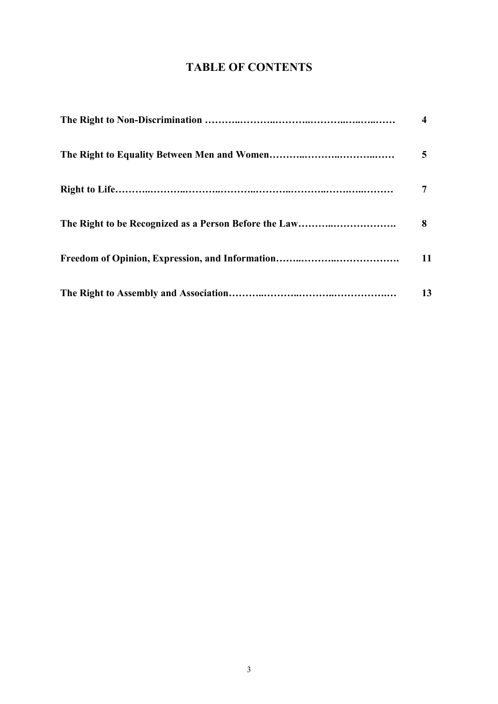# **TABLE OF CONTENTS**

| 4  |
|----|
| 5  |
|    |
| 8  |
| 11 |
| 13 |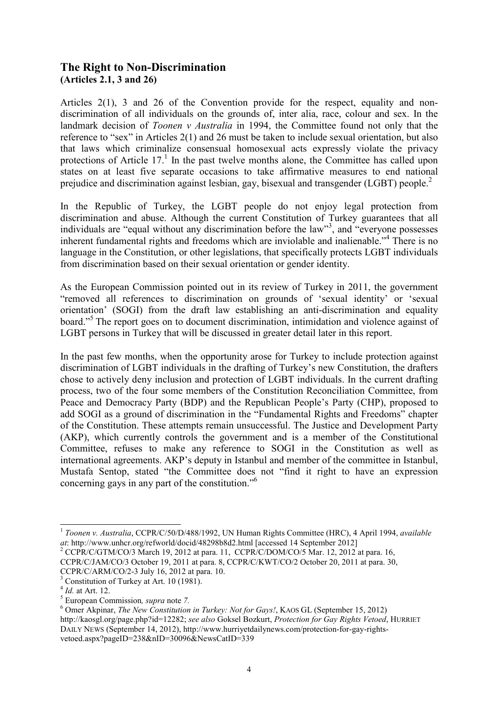## **The Right to Non-Discrimination (Articles 2.1, 3 and 26)**

Articles 2(1), 3 and 26 of the Convention provide for the respect, equality and nondiscrimination of all individuals on the grounds of, inter alia, race, colour and sex. In the landmark decision of *Toonen v Australia* in 1994, the Committee found not only that the reference to "sex" in Articles 2(1) and 26 must be taken to include sexual orientation, but also that laws which criminalize consensual homosexual acts expressly violate the privacy protections of Article 17.<sup>1</sup> In the past twelve months alone, the Committee has called upon states on at least five separate occasions to take affirmative measures to end national prejudice and discrimination against lesbian, gay, bisexual and transgender (LGBT) people.<sup>2</sup>

In the Republic of Turkey, the LGBT people do not enjoy legal protection from discrimination and abuse. Although the current Constitution of Turkey guarantees that all individuals are "equal without any discrimination before the law"<sup>3</sup>, and "everyone possesses inherent fundamental rights and freedoms which are inviolable and inalienable."<sup>4</sup> There is no language in the Constitution, or other legislations, that specifically protects LGBT individuals from discrimination based on their sexual orientation or gender identity.

As the European Commission pointed out in its review of Turkey in 2011, the government "removed all references to discrimination on grounds of 'sexual identity' or 'sexual orientation' (SOGI) from the draft law establishing an anti-discrimination and equality board."<sup>5</sup> The report goes on to document discrimination, intimidation and violence against of LGBT persons in Turkey that will be discussed in greater detail later in this report.

In the past few months, when the opportunity arose for Turkey to include protection against discrimination of LGBT individuals in the drafting of Turkey's new Constitution, the drafters chose to actively deny inclusion and protection of LGBT individuals. In the current drafting process, two of the four some members of the Constitution Reconciliation Committee, from Peace and Democracy Party (BDP) and the Republican People's Party (CHP), proposed to add SOGI as a ground of discrimination in the "Fundamental Rights and Freedoms" chapter of the Constitution. These attempts remain unsuccessful. The Justice and Development Party (AKP), which currently controls the government and is a member of the Constitutional Committee, refuses to make any reference to SOGI in the Constitution as well as international agreements. AKP's deputy in Istanbul and member of the committee in Istanbul, Mustafa Sentop, stated "the Committee does not "find it right to have an expression concerning gays in any part of the constitution."<sup>6</sup>

<sup>1</sup> *Toonen v. Australia*, CCPR/C/50/D/488/1992, UN Human Rights Committee (HRC), 4 April 1994, *available at*: http://www.unhcr.org/refworld/docid/48298b8d2.html [accessed 14 September 2012]

 $2^2$  CCPR/C/GTM/CO/3 March 19, 2012 at para. 11, CCPR/C/DOM/CO/5 Mar. 12, 2012 at para. 16,

CCPR/C/JAM/CO/3 October 19, 2011 at para. 8, CCPR/C/KWT/CO/2 October 20, 2011 at para. 30,

CCPR/C/ARM/CO/2-3 July 16, 2012 at para. 10. <sup>3</sup> Constitution of Turkey at Art. 10 (1981).

<sup>4</sup> *Id.* at Art. 12.

<sup>5</sup> European Commission*, supra* note *7.* 

<sup>6</sup> Omer Akpinar, *The New Constitution in Turkey: Not for Gays!*, KAOS GL (September 15, 2012)

http://kaosgl.org/page.php?id=12282; *see also* Goksel Bozkurt, *Protection for Gay Rights Vetoed*, HURRIET DAILY NEWS (September 14, 2012), http://www.hurriyetdailynews.com/protection-for-gay-rightsvetoed.aspx?pageID=238&nID=30096&NewsCatID=339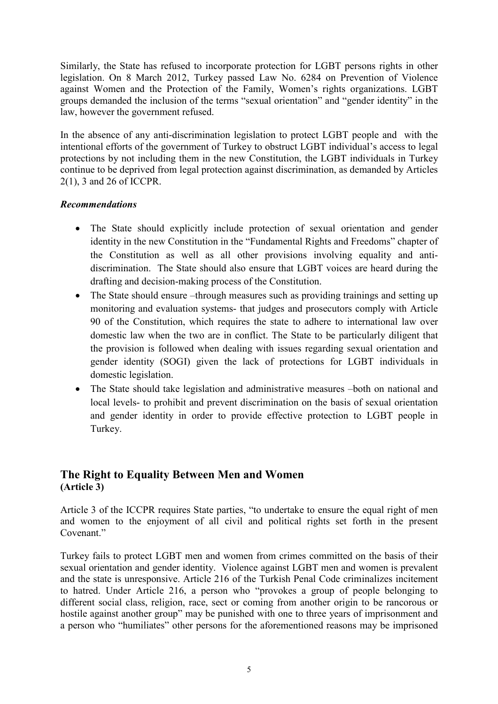Similarly, the State has refused to incorporate protection for LGBT persons rights in other legislation. On 8 March 2012, Turkey passed Law No. 6284 on Prevention of Violence against Women and the Protection of the Family, Women's rights organizations. LGBT groups demanded the inclusion of the terms "sexual orientation" and "gender identity" in the law, however the government refused.

In the absence of any anti-discrimination legislation to protect LGBT people and with the intentional efforts of the government of Turkey to obstruct LGBT individual's access to legal protections by not including them in the new Constitution, the LGBT individuals in Turkey continue to be deprived from legal protection against discrimination, as demanded by Articles 2(1), 3 and 26 of ICCPR.

#### *Recommendations*

- The State should explicitly include protection of sexual orientation and gender identity in the new Constitution in the "Fundamental Rights and Freedoms" chapter of the Constitution as well as all other provisions involving equality and antidiscrimination. The State should also ensure that LGBT voices are heard during the drafting and decision-making process of the Constitution.
- The State should ensure –through measures such as providing trainings and setting up monitoring and evaluation systems- that judges and prosecutors comply with Article 90 of the Constitution, which requires the state to adhere to international law over domestic law when the two are in conflict. The State to be particularly diligent that the provision is followed when dealing with issues regarding sexual orientation and gender identity (SOGI) given the lack of protections for LGBT individuals in domestic legislation.
- The State should take legislation and administrative measures –both on national and local levels- to prohibit and prevent discrimination on the basis of sexual orientation and gender identity in order to provide effective protection to LGBT people in Turkey.

# **The Right to Equality Between Men and Women (Article 3)**

Article 3 of the ICCPR requires State parties, "to undertake to ensure the equal right of men and women to the enjoyment of all civil and political rights set forth in the present Covenant."

Turkey fails to protect LGBT men and women from crimes committed on the basis of their sexual orientation and gender identity. Violence against LGBT men and women is prevalent and the state is unresponsive. Article 216 of the Turkish Penal Code criminalizes incitement to hatred. Under Article 216, a person who "provokes a group of people belonging to different social class, religion, race, sect or coming from another origin to be rancorous or hostile against another group" may be punished with one to three years of imprisonment and a person who "humiliates" other persons for the aforementioned reasons may be imprisoned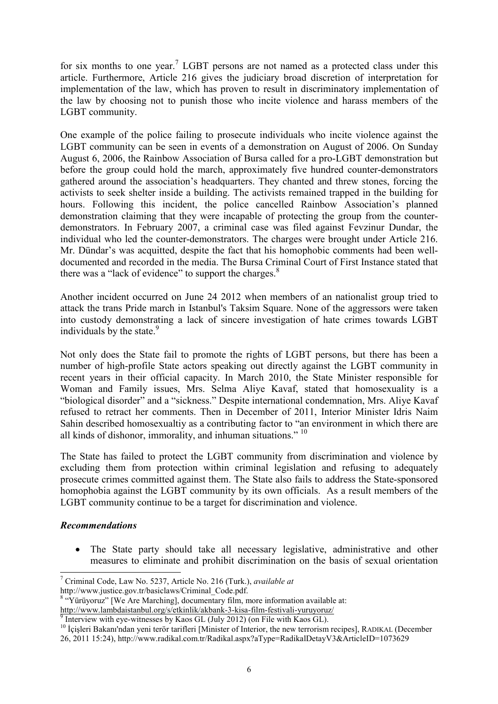for six months to one year.<sup>7</sup> LGBT persons are not named as a protected class under this article. Furthermore, Article 216 gives the judiciary broad discretion of interpretation for implementation of the law, which has proven to result in discriminatory implementation of the law by choosing not to punish those who incite violence and harass members of the LGBT community.

One example of the police failing to prosecute individuals who incite violence against the LGBT community can be seen in events of a demonstration on August of 2006. On Sunday August 6, 2006, the Rainbow Association of Bursa called for a pro-LGBT demonstration but before the group could hold the march, approximately five hundred counter-demonstrators gathered around the association's headquarters. They chanted and threw stones, forcing the activists to seek shelter inside a building. The activists remained trapped in the building for hours. Following this incident, the police cancelled Rainbow Association's planned demonstration claiming that they were incapable of protecting the group from the counterdemonstrators. In February 2007, a criminal case was filed against Fevzinur Dundar, the individual who led the counter-demonstrators. The charges were brought under Article 216. Mr. Dündar's was acquitted, despite the fact that his homophobic comments had been welldocumented and recorded in the media. The Bursa Criminal Court of First Instance stated that there was a "lack of evidence" to support the charges. $8$ 

Another incident occurred on June 24 2012 when members of an nationalist group tried to attack the trans Pride march in Istanbul's Taksim Square. None of the aggressors were taken into custody demonstrating a lack of sincere investigation of hate crimes towards LGBT individuals by the state.<sup>9</sup>

Not only does the State fail to promote the rights of LGBT persons, but there has been a number of high-profile State actors speaking out directly against the LGBT community in recent years in their official capacity. In March 2010, the State Minister responsible for Woman and Family issues, Mrs. Selma Aliye Kavaf, stated that homosexuality is a "biological disorder" and a "sickness." Despite international condemnation, Mrs. Aliye Kavaf refused to retract her comments. Then in December of 2011, Interior Minister Idris Naim Sahin described homosexualtiy as a contributing factor to "an environment in which there are all kinds of dishonor, immorality, and inhuman situations."<sup>10</sup>

The State has failed to protect the LGBT community from discrimination and violence by excluding them from protection within criminal legislation and refusing to adequately prosecute crimes committed against them. The State also fails to address the State-sponsored homophobia against the LGBT community by its own officials. As a result members of the LGBT community continue to be a target for discrimination and violence.

#### *Recommendations*

• The State party should take all necessary legislative, administrative and other measures to eliminate and prohibit discrimination on the basis of sexual orientation

<sup>8</sup> "Yürüyoruz" [We Are Marching], documentary film, more information available at:

<http://www.lambdaistanbul.org/s/etkinlik/akbank-3-kisa-film-festivali-yuruyoruz/>

 $\overline{a}$ 7 Criminal Code, Law No. 5237, Article No. 216 (Turk.), *available at* 

http://www.justice.gov.tr/basiclaws/Criminal\_Code.pdf.

<sup>&</sup>lt;sup>9</sup> Interview with eye-witnesses by Kaos GL (July 2012) (on File with Kaos GL).

<sup>&</sup>lt;sup>10</sup> İçişleri Bakanı'ndan yeni terör tarifleri [Minister of Interior, the new terrorism recipes], RADIKAL (December

<sup>26, 2011 15:24),</sup> http://www.radikal.com.tr/Radikal.aspx?aType=RadikalDetayV3&ArticleID=1073629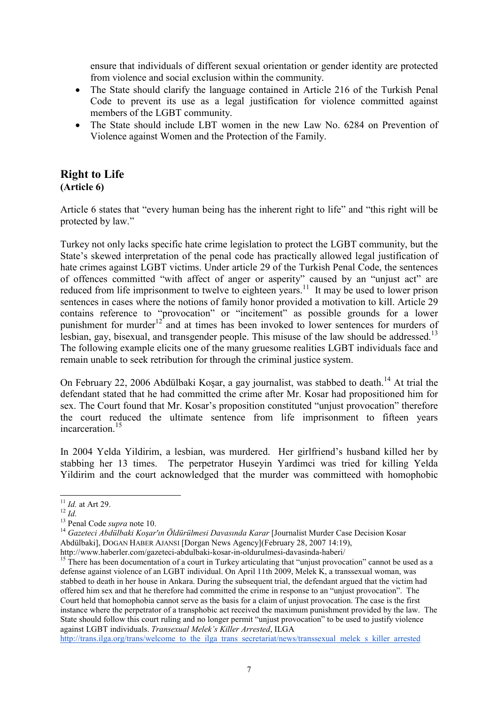ensure that individuals of different sexual orientation or gender identity are protected from violence and social exclusion within the community.

- The State should clarify the language contained in Article 216 of the Turkish Penal Code to prevent its use as a legal justification for violence committed against members of the LGBT community.
- The State should include LBT women in the new Law No. 6284 on Prevention of Violence against Women and the Protection of the Family.

### **Right to Life (Article 6)**

Article 6 states that "every human being has the inherent right to life" and "this right will be protected by law."

Turkey not only lacks specific hate crime legislation to protect the LGBT community, but the State's skewed interpretation of the penal code has practically allowed legal justification of hate crimes against LGBT victims. Under article 29 of the Turkish Penal Code, the sentences of offences committed "with affect of anger or asperity" caused by an "unjust act" are reduced from life imprisonment to twelve to eighteen years.<sup>11</sup> It may be used to lower prison sentences in cases where the notions of family honor provided a motivation to kill. Article 29 contains reference to "provocation" or "incitement" as possible grounds for a lower punishment for murder<sup>12</sup> and at times has been invoked to lower sentences for murders of lesbian, gay, bisexual, and transgender people. This misuse of the law should be addressed.<sup>13</sup> The following example elicits one of the many gruesome realities LGBT individuals face and remain unable to seek retribution for through the criminal justice system.

On February 22, 2006 Abdülbaki Koşar, a gay journalist, was stabbed to death.<sup>14</sup> At trial the defendant stated that he had committed the crime after Mr. Kosar had propositioned him for sex. The Court found that Mr. Kosar's proposition constituted "unjust provocation" therefore the court reduced the ultimate sentence from life imprisonment to fifteen years incarceration.<sup>15</sup>

In 2004 Yelda Yildirim, a lesbian, was murdered. Her girlfriend's husband killed her by stabbing her 13 times. The perpetrator Huseyin Yardimci was tried for killing Yelda Yildirim and the court acknowledged that the murder was committeed with homophobic

[http://trans.ilga.org/trans/welcome\\_to\\_the\\_ilga\\_trans\\_secretariat/news/transsexual\\_melek\\_s\\_killer\\_arrested](http://trans.ilga.org/trans/welcome_to_the_ilga_trans_secretariat/news/transsexual_melek_s_killer_arrested)

 $\overline{a}$ <sup>11</sup> *Id.* at Art 29.

<sup>12</sup> *Id.*

<sup>13</sup> Penal Code *supra* note 10.

<sup>14</sup> *Gazeteci Abdülbaki Koşar'ın Öldürülmesi Davasında Karar* [Journalist Murder Case Decision Kosar Abdülbaki], DOGAN HABER AJANSI [Dorgan News Agency](February 28, 2007 14:19), http://www.haberler.com/gazeteci-abdulbaki-kosar-in-oldurulmesi-davasinda-haberi/

<sup>&</sup>lt;sup>15</sup> There has been documentation of a court in Turkey articulating that "unjust provocation" cannot be used as a defense against violence of an LGBT individual. On April 11th 2009, Melek K, a transsexual woman, was stabbed to death in her house in Ankara. During the subsequent trial, the defendant argued that the victim had offered him sex and that he therefore had committed the crime in response to an "unjust provocation". The Court held that homophobia cannot serve as the basis for a claim of unjust provocation. The case is the first instance where the perpetrator of a transphobic act received the maximum punishment provided by the law. The State should follow this court ruling and no longer permit "unjust provocation" to be used to justify violence against LGBT individuals. *Transexual Melek's Killer Arrested*, ILGA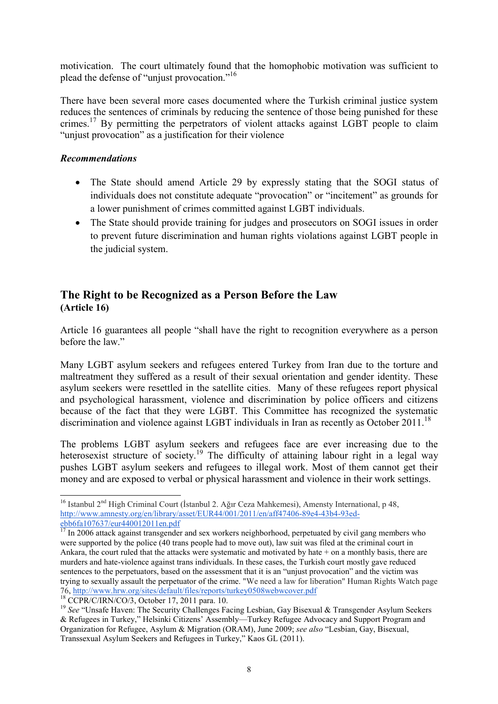motivication. The court ultimately found that the homophobic motivation was sufficient to plead the defense of "unjust provocation."<sup>16</sup>

There have been several more cases documented where the Turkish criminal justice system reduces the sentences of criminals by reducing the sentence of those being punished for these crimes.<sup>17</sup> By permitting the perpetrators of violent attacks against LGBT people to claim "unjust provocation" as a justification for their violence

#### *Recommendations*

- The State should amend Article 29 by expressly stating that the SOGI status of individuals does not constitute adequate "provocation" or "incitement" as grounds for a lower punishment of crimes committed against LGBT individuals.
- The State should provide training for judges and prosecutors on SOGI issues in order to prevent future discrimination and human rights violations against LGBT people in the judicial system.

# **The Right to be Recognized as a Person Before the Law (Article 16)**

Article 16 guarantees all people "shall have the right to recognition everywhere as a person before the law."

Many LGBT asylum seekers and refugees entered Turkey from Iran due to the torture and maltreatment they suffered as a result of their sexual orientation and gender identity. These asylum seekers were resettled in the satellite cities. Many of these refugees report physical and psychological harassment, violence and discrimination by police officers and citizens because of the fact that they were LGBT. This Committee has recognized the systematic discrimination and violence against LGBT individuals in Iran as recently as October 2011.<sup>18</sup>

The problems LGBT asylum seekers and refugees face are ever increasing due to the heterosexist structure of society.<sup>19</sup> The difficulty of attaining labour right in a legal way pushes LGBT asylum seekers and refugees to illegal work. Most of them cannot get their money and are exposed to verbal or physical harassment and violence in their work settings.

<sup>&</sup>lt;sup>16</sup> Istanbul 2<sup>nd</sup> High Criminal Court (İstanbul 2. Ağır Ceza Mahkemesi), Amensty International, p 48, [http://www.amnesty.org/en/library/asset/EUR44/001/2011/en/aff47406-89e4-43b4-93ed](http://www.amnesty.org/en/library/asset/EUR44/001/2011/en/aff47406-89e4-43b4-93ed-ebb6fa107637/eur440012011en.pdf)[ebb6fa107637/eur440012011en.pdf](http://www.amnesty.org/en/library/asset/EUR44/001/2011/en/aff47406-89e4-43b4-93ed-ebb6fa107637/eur440012011en.pdf)

<sup>&</sup>lt;sup>17</sup> In 2006 attack against transgender and sex workers neighborhood, perpetuated by civil gang members who were supported by the police (40 trans people had to move out), law suit was filed at the criminal court in Ankara, the court ruled that the attacks were systematic and motivated by hate + on a monthly basis, there are murders and hate-violence against trans individuals. In these cases, the Turkish court mostly gave reduced sentences to the perpetuators, based on the assessment that it is an "unjust provocation" and the victim was trying to sexually assault the perpetuator of the crime. "We need a law for liberation" Human Rights Watch page 76,<http://www.hrw.org/sites/default/files/reports/turkey0508webwcover.pdf>

<sup>18</sup> CCPR/C/IRN/CO/3, October 17, 2011 para. 10.

<sup>&</sup>lt;sup>19</sup> See "Unsafe Haven: The Security Challenges Facing Lesbian, Gay Bisexual & Transgender Asylum Seekers & Refugees in Turkey," Helsinki Citizens' Assembly—Turkey Refugee Advocacy and Support Program and Organization for Refugee, Asylum & Migration (ORAM), June 2009; *see also* "Lesbian, Gay, Bisexual, Transsexual Asylum Seekers and Refugees in Turkey," Kaos GL (2011).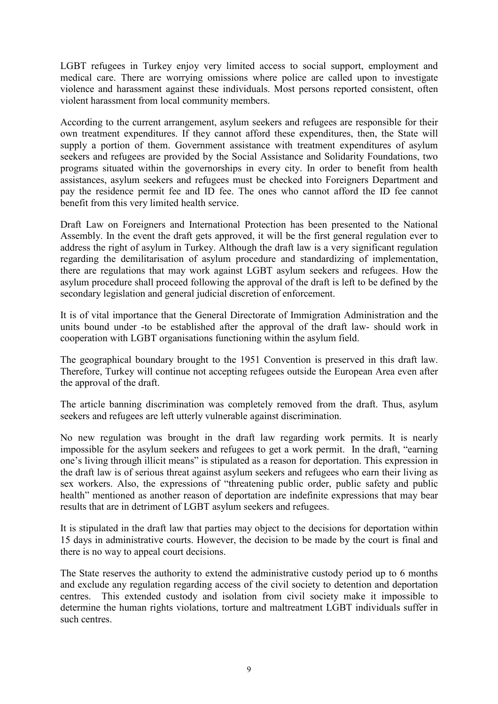LGBT refugees in Turkey enjoy very limited access to social support, employment and medical care. There are worrying omissions where police are called upon to investigate violence and harassment against these individuals. Most persons reported consistent, often violent harassment from local community members.

According to the current arrangement, asylum seekers and refugees are responsible for their own treatment expenditures. If they cannot afford these expenditures, then, the State will supply a portion of them. Government assistance with treatment expenditures of asylum seekers and refugees are provided by the Social Assistance and Solidarity Foundations, two programs situated within the governorships in every city. In order to benefit from health assistances, asylum seekers and refugees must be checked into Foreigners Department and pay the residence permit fee and ID fee. The ones who cannot afford the ID fee cannot benefit from this very limited health service.

Draft Law on Foreigners and International Protection has been presented to the National Assembly. In the event the draft gets approved, it will be the first general regulation ever to address the right of asylum in Turkey. Although the draft law is a very significant regulation regarding the demilitarisation of asylum procedure and standardizing of implementation, there are regulations that may work against LGBT asylum seekers and refugees. How the asylum procedure shall proceed following the approval of the draft is left to be defined by the secondary legislation and general judicial discretion of enforcement.

It is of vital importance that the General Directorate of Immigration Administration and the units bound under -to be established after the approval of the draft law- should work in cooperation with LGBT organisations functioning within the asylum field.

The geographical boundary brought to the 1951 Convention is preserved in this draft law. Therefore, Turkey will continue not accepting refugees outside the European Area even after the approval of the draft.

The article banning discrimination was completely removed from the draft. Thus, asylum seekers and refugees are left utterly vulnerable against discrimination.

No new regulation was brought in the draft law regarding work permits. It is nearly impossible for the asylum seekers and refugees to get a work permit. In the draft, "earning one's living through illicit means" is stipulated as a reason for deportation. This expression in the draft law is of serious threat against asylum seekers and refugees who earn their living as sex workers. Also, the expressions of "threatening public order, public safety and public health" mentioned as another reason of deportation are indefinite expressions that may bear results that are in detriment of LGBT asylum seekers and refugees.

It is stipulated in the draft law that parties may object to the decisions for deportation within 15 days in administrative courts. However, the decision to be made by the court is final and there is no way to appeal court decisions.

The State reserves the authority to extend the administrative custody period up to 6 months and exclude any regulation regarding access of the civil society to detention and deportation centres. This extended custody and isolation from civil society make it impossible to determine the human rights violations, torture and maltreatment LGBT individuals suffer in such centres.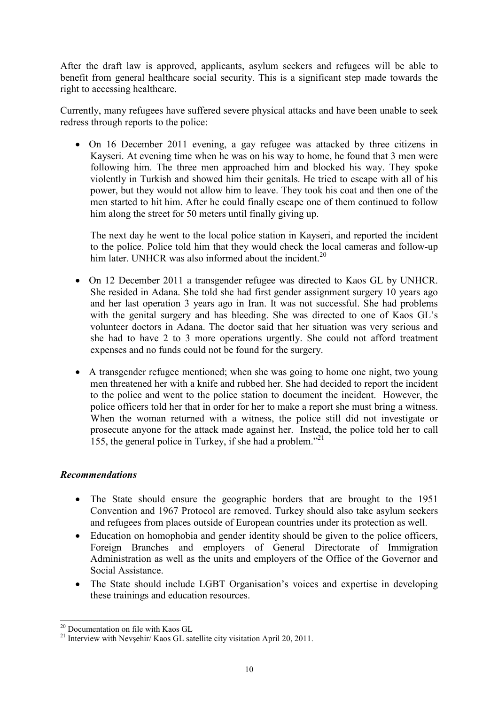After the draft law is approved, applicants, asylum seekers and refugees will be able to benefit from general healthcare social security. This is a significant step made towards the right to accessing healthcare.

Currently, many refugees have suffered severe physical attacks and have been unable to seek redress through reports to the police:

• On 16 December 2011 evening, a gay refugee was attacked by three citizens in Kayseri. At evening time when he was on his way to home, he found that 3 men were following him. The three men approached him and blocked his way. They spoke violently in Turkish and showed him their genitals. He tried to escape with all of his power, but they would not allow him to leave. They took his coat and then one of the men started to hit him. After he could finally escape one of them continued to follow him along the street for 50 meters until finally giving up.

The next day he went to the local police station in Kayseri, and reported the incident to the police. Police told him that they would check the local cameras and follow-up him later. UNHCR was also informed about the incident.<sup>20</sup>

- On 12 December 2011 a transgender refugee was directed to Kaos GL by UNHCR. She resided in Adana. She told she had first gender assignment surgery 10 years ago and her last operation 3 years ago in Iran. It was not successful. She had problems with the genital surgery and has bleeding. She was directed to one of Kaos GL's volunteer doctors in Adana. The doctor said that her situation was very serious and she had to have 2 to 3 more operations urgently. She could not afford treatment expenses and no funds could not be found for the surgery.
- A transgender refugee mentioned; when she was going to home one night, two young men threatened her with a knife and rubbed her. She had decided to report the incident to the police and went to the police station to document the incident. However, the police officers told her that in order for her to make a report she must bring a witness. When the woman returned with a witness, the police still did not investigate or prosecute anyone for the attack made against her. Instead, the police told her to call 155, the general police in Turkey, if she had a problem."<sup>21</sup>

#### *Recommendations*

- The State should ensure the geographic borders that are brought to the 1951 Convention and 1967 Protocol are removed. Turkey should also take asylum seekers and refugees from places outside of European countries under its protection as well.
- Education on homophobia and gender identity should be given to the police officers, Foreign Branches and employers of General Directorate of Immigration Administration as well as the units and employers of the Office of the Governor and Social Assistance.
- The State should include LGBT Organisation's voices and expertise in developing these trainings and education resources.

 $\overline{a}$ <sup>20</sup> Documentation on file with Kaos GL

<sup>&</sup>lt;sup>21</sup> Interview with Nevsehir/ Kaos GL satellite city visitation April 20, 2011.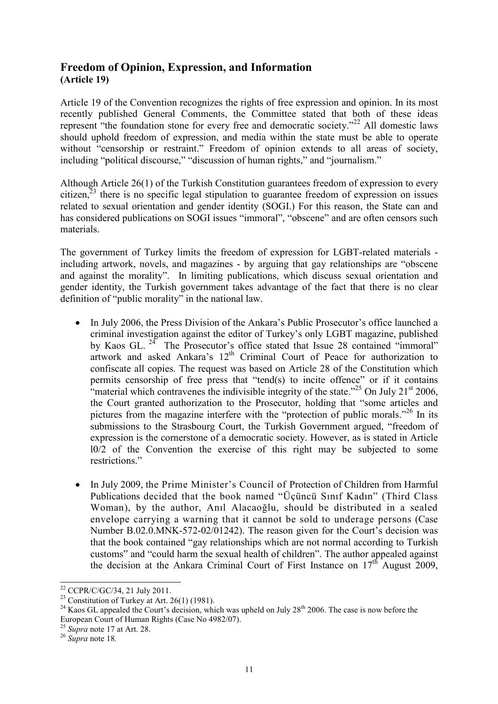# **Freedom of Opinion, Expression, and Information (Article 19)**

Article 19 of the Convention recognizes the rights of free expression and opinion. In its most recently published General Comments, the Committee stated that both of these ideas represent "the foundation stone for every free and democratic society."<sup>22</sup> All domestic laws should uphold freedom of expression, and media within the state must be able to operate without "censorship or restraint." Freedom of opinion extends to all areas of society, including "political discourse," "discussion of human rights," and "journalism."

Although Article 26(1) of the Turkish Constitution guarantees freedom of expression to every citizen,<sup>23</sup> there is no specific legal stipulation to guarantee freedom of expression on issues related to sexual orientation and gender identity (SOGI.) For this reason, the State can and has considered publications on SOGI issues "immoral", "obscene" and are often censors such materials.

The government of Turkey limits the freedom of expression for LGBT-related materials including artwork, novels, and magazines - by arguing that gay relationships are "obscene and against the morality". In limiting publications, which discuss sexual orientation and gender identity, the Turkish government takes advantage of the fact that there is no clear definition of "public morality" in the national law.

- In July 2006, the Press Division of the Ankara's Public Prosecutor's office launched a criminal investigation against the editor of Turkey's only LGBT magazine, published by Kaos GL.<sup>24</sup> The Prosecutor's office stated that Issue 28 contained "immoral" artwork and asked Ankara's 12<sup>th</sup> Criminal Court of Peace for authorization to confiscate all copies. The request was based on Article 28 of the Constitution which permits censorship of free press that "tend(s) to incite offence" or if it contains "material which contravenes the indivisible integrity of the state."<sup>25</sup> On July 21<sup>st</sup> 2006, the Court granted authorization to the Prosecutor, holding that "some articles and pictures from the magazine interfere with the "protection of public morals."<sup>26</sup> In its submissions to the Strasbourg Court, the Turkish Government argued, "freedom of expression is the cornerstone of a democratic society. However, as is stated in Article l0/2 of the Convention the exercise of this right may be subjected to some restrictions."
- In July 2009, the Prime Minister's Council of Protection of Children from Harmful Publications decided that the book named "Üçüncü Sınıf Kadın" (Third Class Woman), by the author, Anıl Alacaoğlu, should be distributed in a sealed envelope carrying a warning that it cannot be sold to underage persons (Case Number B.02.0.MNK-572-02/01242). The reason given for the Court's decision was that the book contained "gay relationships which are not normal according to Turkish customs" and "could harm the sexual health of children". The author appealed against the decision at the Ankara Criminal Court of First Instance on  $17<sup>th</sup>$  August 2009,

 $\overline{a}$  $22$  CCPR/C/GC/34, 21 July 2011.

<sup>&</sup>lt;sup>23</sup> Constitution of Turkey at Art. 26(1) (1981).

<sup>&</sup>lt;sup>24</sup> Kaos GL appealed the Court's decision, which was upheld on July  $28<sup>th</sup>$  2006. The case is now before the European Court of Human Rights (Case No 4982/07).

<sup>25</sup> *Supra* note 17 at Art. 28.

<sup>26</sup> *Supra* note 18*.*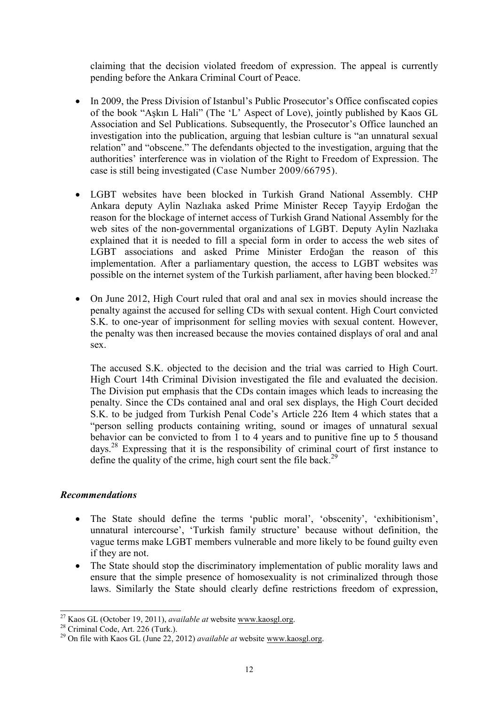claiming that the decision violated freedom of expression. The appeal is currently pending before the Ankara Criminal Court of Peace.

- In 2009, the Press Division of Istanbul's Public Prosecutor's Office confiscated copies of the book "Aşkın L Hali" (The 'L' Aspect of Love), jointly published by Kaos GL Association and Sel Publications. Subsequently, the Prosecutor's Office launched an investigation into the publication, arguing that lesbian culture is "an unnatural sexual relation" and "obscene." The defendants objected to the investigation, arguing that the authorities' interference was in violation of the Right to Freedom of Expression. The case is still being investigated (Case Number 2009/66795).
- LGBT websites have been blocked in Turkish Grand National Assembly. CHP Ankara deputy Aylin Nazlıaka asked Prime Minister Recep Tayyip Erdoğan the reason for the blockage of internet access of Turkish Grand National Assembly for the web sites of the non-governmental organizations of LGBT. Deputy Aylin Nazlıaka explained that it is needed to fill a special form in order to access the web sites of LGBT associations and asked Prime Minister Erdoğan the reason of this implementation. After a parliamentary question, the access to LGBT websites was possible on the internet system of the Turkish parliament, after having been blocked.<sup>27</sup>
- On June 2012, High Court ruled that oral and anal sex in movies should increase the penalty against the accused for selling CDs with sexual content. High Court convicted S.K. to one-year of imprisonment for selling movies with sexual content. However, the penalty was then increased because the movies contained displays of oral and anal sex.

The accused S.K. objected to the decision and the trial was carried to High Court. High Court 14th Criminal Division investigated the file and evaluated the decision. The Division put emphasis that the CDs contain images which leads to increasing the penalty. Since the CDs contained anal and oral sex displays, the High Court decided S.K. to be judged from Turkish Penal Code's Article 226 Item 4 which states that a "person selling products containing writing, sound or images of unnatural sexual behavior can be convicted to from 1 to 4 years and to punitive fine up to 5 thousand days.<sup>28</sup> Expressing that it is the responsibility of criminal court of first instance to define the quality of the crime, high court sent the file back.<sup>29</sup>

#### *Recommendations*

- The State should define the terms 'public moral', 'obscenity', 'exhibitionism', unnatural intercourse', 'Turkish family structure' because without definition, the vague terms make LGBT members vulnerable and more likely to be found guilty even if they are not.
- The State should stop the discriminatory implementation of public morality laws and ensure that the simple presence of homosexuality is not criminalized through those laws. Similarly the State should clearly define restrictions freedom of expression,

<sup>27</sup> Kaos GL (October 19, 2011), *available at* website [www.kaosgl.org.](http://www.kaosgl.org/)

 $28$  Criminal Code, Art. 226 (Turk.).

<sup>29</sup> On file with Kaos GL (June 22, 2012) *available at* website [www.kaosgl.org.](http://www.kaosgl.org/)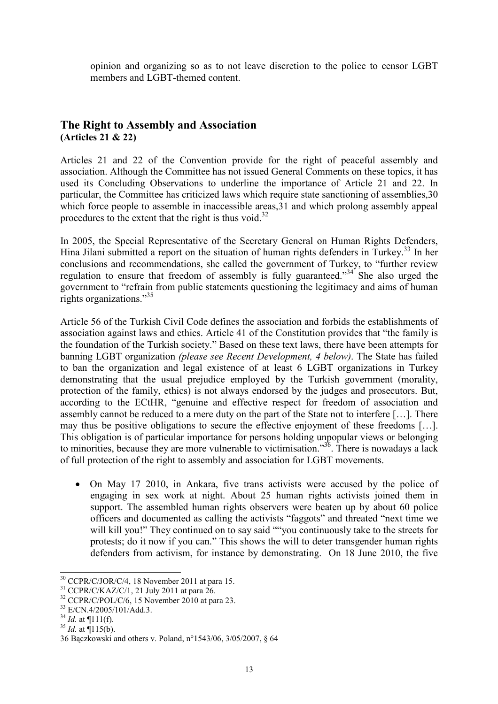opinion and organizing so as to not leave discretion to the police to censor LGBT members and LGBT-themed content.

## **The Right to Assembly and Association (Articles 21 & 22)**

Articles 21 and 22 of the Convention provide for the right of peaceful assembly and association. Although the Committee has not issued General Comments on these topics, it has used its Concluding Observations to underline the importance of Article 21 and 22. In particular, the Committee has criticized laws which require state sanctioning of assemblies,30 which force people to assemble in inaccessible areas, 31 and which prolong assembly appeal procedures to the extent that the right is thus void.<sup>32</sup>

In 2005, the Special Representative of the Secretary General on Human Rights Defenders, Hina Jilani submitted a report on the situation of human rights defenders in Turkey.<sup>33</sup> In her conclusions and recommendations, she called the government of Turkey, to "further review regulation to ensure that freedom of assembly is fully guaranteed."<sup>34</sup> She also urged the government to "refrain from public statements questioning the legitimacy and aims of human rights organizations."<sup>35</sup>

Article 56 of the Turkish Civil Code defines the association and forbids the establishments of association against laws and ethics. Article 41 of the Constitution provides that "the family is the foundation of the Turkish society." Based on these text laws, there have been attempts for banning LGBT organization *(please see Recent Development, 4 below)*. The State has failed to ban the organization and legal existence of at least 6 LGBT organizations in Turkey demonstrating that the usual prejudice employed by the Turkish government (morality, protection of the family, ethics) is not always endorsed by the judges and prosecutors. But, according to the ECtHR, "genuine and effective respect for freedom of association and assembly cannot be reduced to a mere duty on the part of the State not to interfere […]. There may thus be positive obligations to secure the effective enjoyment of these freedoms […]. This obligation is of particular importance for persons holding unpopular views or belonging to minorities, because they are more vulnerable to victimisation."<sup>36</sup>. There is nowadays a lack of full protection of the right to assembly and association for LGBT movements.

• On May 17 2010, in Ankara, five trans activists were accused by the police of engaging in sex work at night. About 25 human rights activists joined them in support. The assembled human rights observers were beaten up by about 60 police officers and documented as calling the activists "faggots" and threated "next time we will kill you!" They continued on to say said ""you continuously take to the streets for protests; do it now if you can." This shows the will to deter transgender human rights defenders from activism, for instance by demonstrating. On 18 June 2010, the five

- $34$  *Id.* at  $\P$ 111(f).
- $35$  *Id.* at  $\P$ 115(b).

 $\overline{a}$  $30$  CCPR/C/JOR/C/4, 18 November 2011 at para 15.

 $31$  CCPR/C/KAZ/C/1, 21 July 2011 at para 26.

<sup>32</sup> CCPR/C/POL/C/6, 15 November 2010 at para 23.

<sup>33</sup> E/CN.4/2005/101/Add.3.

<sup>36</sup> Bączkowski and others v. Poland, n°1543/06, 3/05/2007, § 64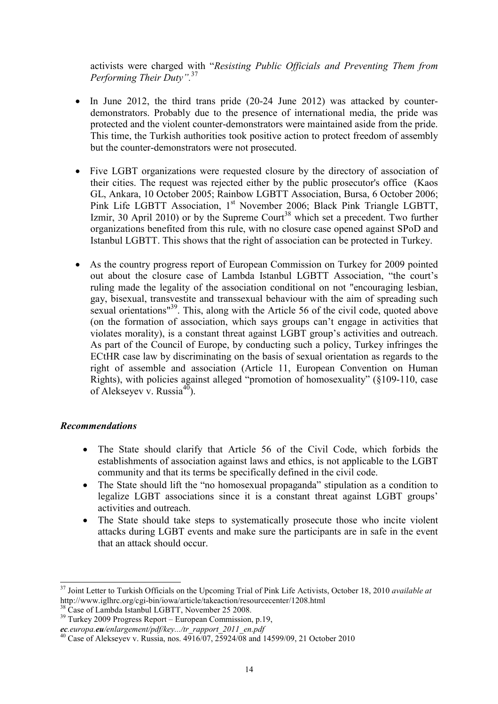activists were charged with "*Resisting Public Officials and Preventing Them from Performing Their Duty".*<sup>37</sup>

- In June 2012, the third trans pride (20-24 June 2012) was attacked by counterdemonstrators. Probably due to the presence of international media, the pride was protected and the violent counter-demonstrators were maintained aside from the pride. This time, the Turkish authorities took positive action to protect freedom of assembly but the counter-demonstrators were not prosecuted.
- Five LGBT organizations were requested closure by the directory of association of their cities. The request was rejected either by the public prosecutor's office (Kaos GL, Ankara, 10 October 2005; Rainbow LGBTT Association, Bursa, 6 October 2006; Pink Life LGBTT Association, 1<sup>st</sup> November 2006; Black Pink Triangle LGBTT, Izmir, 30 April 2010) or by the Supreme Court<sup>38</sup> which set a precedent. Two further organizations benefited from this rule, with no closure case opened against SPoD and Istanbul LGBTT. This shows that the right of association can be protected in Turkey.
- As the country progress report of European Commission on Turkey for 2009 pointed out about the closure case of Lambda Istanbul LGBTT Association, "the court's ruling made the legality of the association conditional on not "encouraging lesbian, gay, bisexual, transvestite and transsexual behaviour with the aim of spreading such sexual orientations<sup>"39</sup>. This, along with the Article 56 of the civil code, quoted above (on the formation of association, which says groups can't engage in activities that violates morality), is a constant threat against LGBT group's activities and outreach. As part of the Council of Europe, by conducting such a policy, Turkey infringes the ECtHR case law by discriminating on the basis of sexual orientation as regards to the right of assemble and association (Article 11, European Convention on Human Rights), with policies against alleged "promotion of homosexuality" (§109-110, case of Alekseyev v. Russi $a^{40}$ ).

#### *Recommendations*

- The State should clarify that Article 56 of the Civil Code, which forbids the establishments of association against laws and ethics, is not applicable to the LGBT community and that its terms be specifically defined in the civil code.
- The State should lift the "no homosexual propaganda" stipulation as a condition to legalize LGBT associations since it is a constant threat against LGBT groups' activities and outreach.
- The State should take steps to systematically prosecute those who incite violent attacks during LGBT events and make sure the participants are in safe in the event that an attack should occur.

<sup>37</sup> Joint Letter to Turkish Officials on the Upcoming Trial of Pink Life Activists, October 18, 2010 *available at*  http://www.iglhrc.org/cgi-bin/iowa/article/takeaction/resourcecenter/1208.html

<sup>&</sup>lt;sup>38</sup> Case of Lambda Istanbul LGBTT, November 25 2008.

<sup>39</sup> Turkey 2009 Progress Report – European Commission, p.19,

*ec.europa.eu/enlargement/pdf/key.../tr\_rapport\_2011\_en.pdf*

<sup>40</sup> Case of Alekseyev v. Russia, nos. 4916/07, 25924/08 and 14599/09, 21 October 2010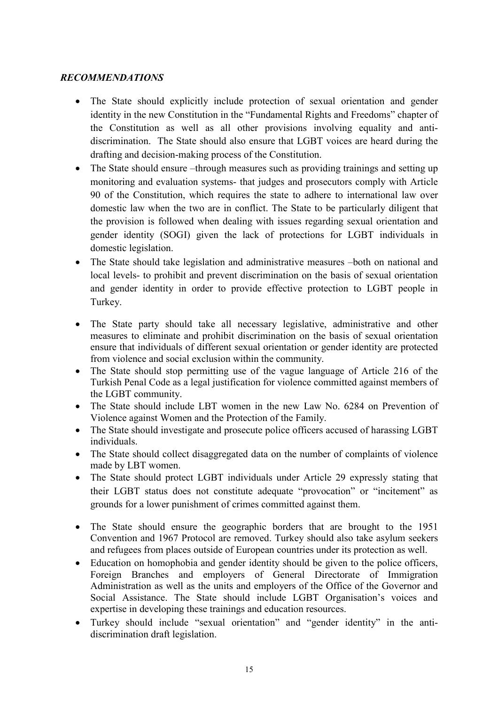## *RECOMMENDATIONS*

- The State should explicitly include protection of sexual orientation and gender identity in the new Constitution in the "Fundamental Rights and Freedoms" chapter of the Constitution as well as all other provisions involving equality and antidiscrimination. The State should also ensure that LGBT voices are heard during the drafting and decision-making process of the Constitution.
- The State should ensure –through measures such as providing trainings and setting up monitoring and evaluation systems- that judges and prosecutors comply with Article 90 of the Constitution, which requires the state to adhere to international law over domestic law when the two are in conflict. The State to be particularly diligent that the provision is followed when dealing with issues regarding sexual orientation and gender identity (SOGI) given the lack of protections for LGBT individuals in domestic legislation.
- The State should take legislation and administrative measures –both on national and local levels- to prohibit and prevent discrimination on the basis of sexual orientation and gender identity in order to provide effective protection to LGBT people in Turkey.
- The State party should take all necessary legislative, administrative and other measures to eliminate and prohibit discrimination on the basis of sexual orientation ensure that individuals of different sexual orientation or gender identity are protected from violence and social exclusion within the community.
- The State should stop permitting use of the vague language of Article 216 of the Turkish Penal Code as a legal justification for violence committed against members of the LGBT community.
- The State should include LBT women in the new Law No. 6284 on Prevention of Violence against Women and the Protection of the Family.
- The State should investigate and prosecute police officers accused of harassing LGBT individuals.
- The State should collect disaggregated data on the number of complaints of violence made by LBT women.
- The State should protect LGBT individuals under Article 29 expressly stating that their LGBT status does not constitute adequate "provocation" or "incitement" as grounds for a lower punishment of crimes committed against them.
- The State should ensure the geographic borders that are brought to the 1951 Convention and 1967 Protocol are removed. Turkey should also take asylum seekers and refugees from places outside of European countries under its protection as well.
- Education on homophobia and gender identity should be given to the police officers, Foreign Branches and employers of General Directorate of Immigration Administration as well as the units and employers of the Office of the Governor and Social Assistance. The State should include LGBT Organisation's voices and expertise in developing these trainings and education resources.
- Turkey should include "sexual orientation" and "gender identity" in the antidiscrimination draft legislation.